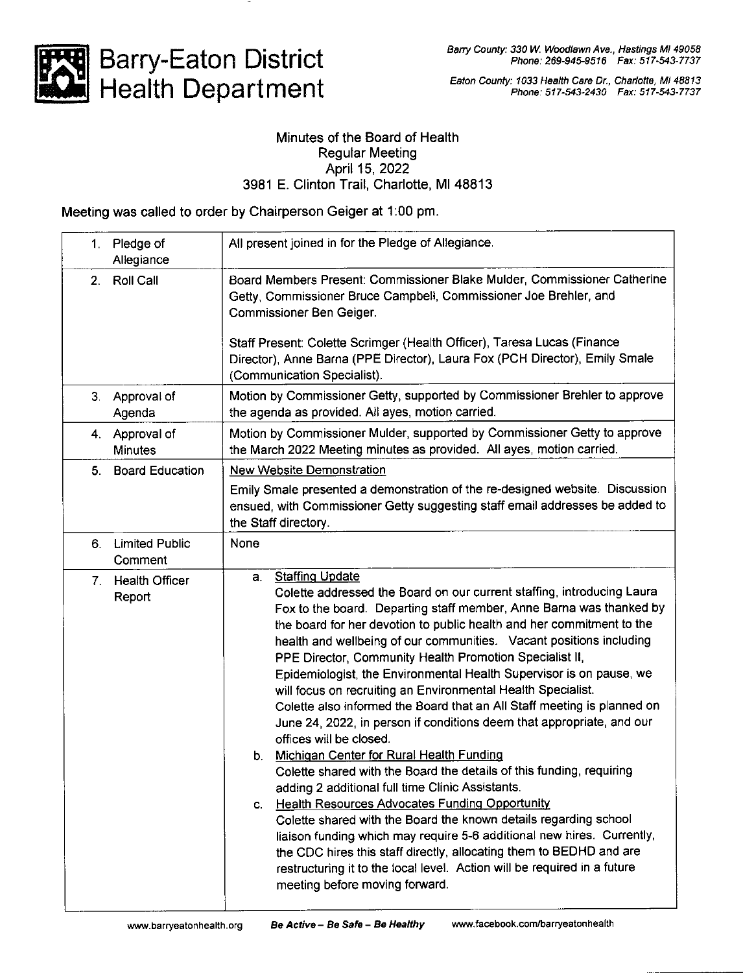Barry County: 330 W. Woodlawn Ave. , Hastings MI 49058 Phone: 269-94U951 6 Fdx : 517-543-7737



## Barry-Eaton District Health Department

Eaton County: 1033 Health Care Dr., Charlotte, MI 48813 Phone: 517-543-2430 Fax: 517-543-7737

## Minutes of the Board of Health Regular Meeting April 15,2022 3981 E. Clinton Trail, Charlotte, Ml 48813

Meeting was called to order by Chairperson Geiger at 1:00 pm.

| 1. | Pledge of<br>Allegiance          | All present joined in for the Pledge of Allegiance.                                                                                                                                                                                                                                                                                                                                                                                                                                                                                                                                                                                                                                                                                                                                                                                                                                                                                                                                                                                                                                                                                                                                                                                                                                            |
|----|----------------------------------|------------------------------------------------------------------------------------------------------------------------------------------------------------------------------------------------------------------------------------------------------------------------------------------------------------------------------------------------------------------------------------------------------------------------------------------------------------------------------------------------------------------------------------------------------------------------------------------------------------------------------------------------------------------------------------------------------------------------------------------------------------------------------------------------------------------------------------------------------------------------------------------------------------------------------------------------------------------------------------------------------------------------------------------------------------------------------------------------------------------------------------------------------------------------------------------------------------------------------------------------------------------------------------------------|
| 2. | <b>Roll Call</b>                 | Board Members Present: Commissioner Blake Mulder, Commissioner Catherine<br>Getty, Commissioner Bruce Campbell, Commissioner Joe Brehler, and<br>Commissioner Ben Geiger.<br>Staff Present: Colette Scrimger (Health Officer), Taresa Lucas (Finance                                                                                                                                                                                                                                                                                                                                                                                                                                                                                                                                                                                                                                                                                                                                                                                                                                                                                                                                                                                                                                           |
|    |                                  | Director), Anne Barna (PPE Director), Laura Fox (PCH Director), Emily Smale<br>(Communication Specialist).                                                                                                                                                                                                                                                                                                                                                                                                                                                                                                                                                                                                                                                                                                                                                                                                                                                                                                                                                                                                                                                                                                                                                                                     |
|    | 3. Approval of<br>Agenda         | Motion by Commissioner Getty, supported by Commissioner Brehler to approve<br>the agenda as provided. All ayes, motion carried.                                                                                                                                                                                                                                                                                                                                                                                                                                                                                                                                                                                                                                                                                                                                                                                                                                                                                                                                                                                                                                                                                                                                                                |
|    | 4 Approval of<br><b>Minutes</b>  | Motion by Commissioner Mulder, supported by Commissioner Getty to approve<br>the March 2022 Meeting minutes as provided. All ayes, motion carried.                                                                                                                                                                                                                                                                                                                                                                                                                                                                                                                                                                                                                                                                                                                                                                                                                                                                                                                                                                                                                                                                                                                                             |
| 5. | <b>Board Education</b>           | New Website Demonstration<br>Emily Smale presented a demonstration of the re-designed website. Discussion<br>ensued, with Commissioner Getty suggesting staff email addresses be added to<br>the Staff directory.                                                                                                                                                                                                                                                                                                                                                                                                                                                                                                                                                                                                                                                                                                                                                                                                                                                                                                                                                                                                                                                                              |
| 6. | <b>Limited Public</b><br>Comment | None                                                                                                                                                                                                                                                                                                                                                                                                                                                                                                                                                                                                                                                                                                                                                                                                                                                                                                                                                                                                                                                                                                                                                                                                                                                                                           |
|    | 7. Health Officer<br>Report      | <b>Staffing Update</b><br>а.<br>Colette addressed the Board on our current staffing, introducing Laura<br>Fox to the board. Departing staff member, Anne Barna was thanked by<br>the board for her devotion to public health and her commitment to the<br>health and wellbeing of our communities. Vacant positions including<br>PPE Director, Community Health Promotion Specialist II,<br>Epidemiologist, the Environmental Health Supervisor is on pause, we<br>will focus on recruiting an Environmental Health Specialist.<br>Colette also informed the Board that an All Staff meeting is planned on<br>June 24, 2022, in person if conditions deem that appropriate, and our<br>offices will be closed.<br>Michigan Center for Rural Health Funding<br>b.<br>Colette shared with the Board the details of this funding, requiring<br>adding 2 additional full time Clinic Assistants.<br><b>Health Resources Advocates Funding Opportunity</b><br>C.<br>Colette shared with the Board the known details regarding school<br>liaison funding which may require 5-6 additional new hires. Currently,<br>the CDC hires this staff directly, allocating them to BEDHD and are<br>restructuring it to the local level. Action will be required in a future<br>meeting before moving forward. |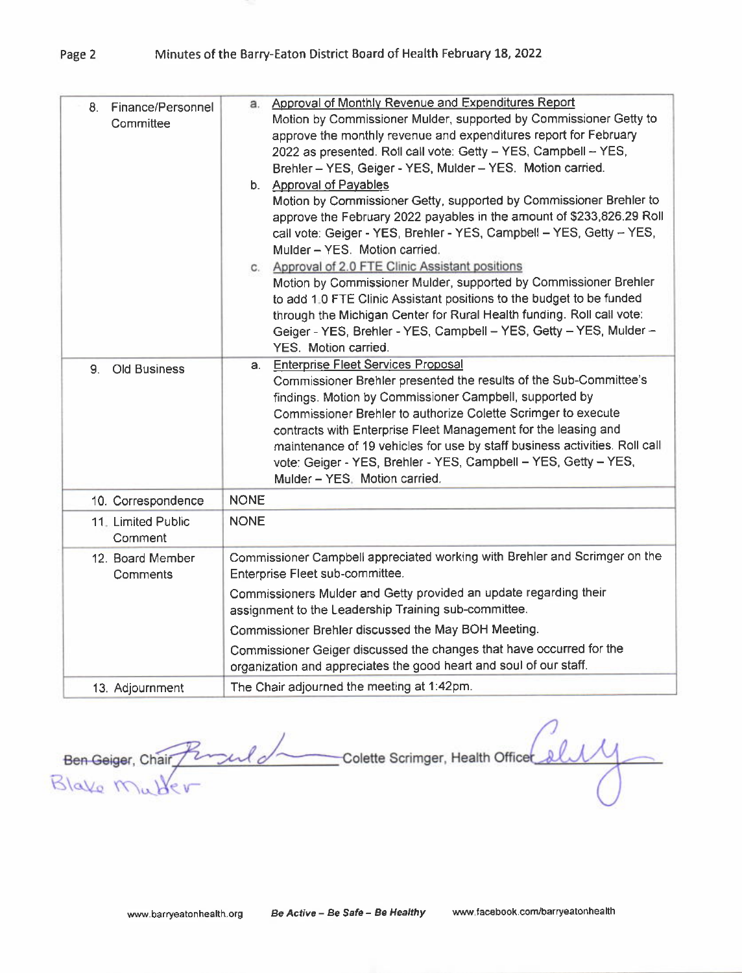|                                                                | Approval of Monthly Revenue and Expenditures Report<br>a.                                                                                                                                                                                                                                                                                                                                                                                                                                                                                                                                                                                                                                                                                                                                                                                                                                                                                                                                                                                                                                                                                                                                                                                                  |
|----------------------------------------------------------------|------------------------------------------------------------------------------------------------------------------------------------------------------------------------------------------------------------------------------------------------------------------------------------------------------------------------------------------------------------------------------------------------------------------------------------------------------------------------------------------------------------------------------------------------------------------------------------------------------------------------------------------------------------------------------------------------------------------------------------------------------------------------------------------------------------------------------------------------------------------------------------------------------------------------------------------------------------------------------------------------------------------------------------------------------------------------------------------------------------------------------------------------------------------------------------------------------------------------------------------------------------|
| 8. Finance/Personnel<br>Committee<br><b>Old Business</b><br>9. | Motion by Commissioner Mulder, supported by Commissioner Getty to<br>approve the monthly revenue and expenditures report for February<br>2022 as presented. Roll call vote: Getty - YES, Campbell - YES,<br>Brehler - YES, Geiger - YES, Mulder - YES. Motion carried.<br>b. Approval of Payables<br>Motion by Commissioner Getty, supported by Commissioner Brehler to<br>approve the February 2022 payables in the amount of \$233,826.29 Roll<br>call vote: Geiger - YES, Brehler - YES, Campbell - YES, Getty - YES,<br>Mulder - YES. Motion carried.<br>Approval of 2.0 FTE Clinic Assistant positions<br>C.<br>Motion by Commissioner Mulder, supported by Commissioner Brehler<br>to add 1.0 FTE Clinic Assistant positions to the budget to be funded<br>through the Michigan Center for Rural Health funding. Roll call vote:<br>Geiger - YES, Brehler - YES, Campbell - YES, Getty - YES, Mulder -<br>YES. Motion carried.<br><b>Enterprise Fleet Services Proposal</b><br>a.<br>Commissioner Brehler presented the results of the Sub-Committee's<br>findings. Motion by Commissioner Campbell, supported by<br>Commissioner Brehler to authorize Colette Scrimger to execute<br>contracts with Enterprise Fleet Management for the leasing and |
|                                                                | maintenance of 19 vehicles for use by staff business activities. Roll call<br>vote: Geiger - YES, Brehler - YES, Campbell - YES, Getty - YES,<br>Mulder - YES: Motion carried.                                                                                                                                                                                                                                                                                                                                                                                                                                                                                                                                                                                                                                                                                                                                                                                                                                                                                                                                                                                                                                                                             |
| 10. Correspondence                                             | <b>NONE</b>                                                                                                                                                                                                                                                                                                                                                                                                                                                                                                                                                                                                                                                                                                                                                                                                                                                                                                                                                                                                                                                                                                                                                                                                                                                |
| 11. Limited Public<br>Comment                                  | <b>NONE</b>                                                                                                                                                                                                                                                                                                                                                                                                                                                                                                                                                                                                                                                                                                                                                                                                                                                                                                                                                                                                                                                                                                                                                                                                                                                |
| 12. Board Member<br>Comments                                   | Commissioner Campbell appreciated working with Brehler and Scrimger on the<br>Enterprise Fleet sub-committee.                                                                                                                                                                                                                                                                                                                                                                                                                                                                                                                                                                                                                                                                                                                                                                                                                                                                                                                                                                                                                                                                                                                                              |
|                                                                | Commissioners Mulder and Getty provided an update regarding their<br>assignment to the Leadership Training sub-committee.                                                                                                                                                                                                                                                                                                                                                                                                                                                                                                                                                                                                                                                                                                                                                                                                                                                                                                                                                                                                                                                                                                                                  |
|                                                                | Commissioner Brehler discussed the May BOH Meeting.                                                                                                                                                                                                                                                                                                                                                                                                                                                                                                                                                                                                                                                                                                                                                                                                                                                                                                                                                                                                                                                                                                                                                                                                        |
|                                                                | Commissioner Geiger discussed the changes that have occurred for the<br>organization and appreciates the good heart and soul of our staff.                                                                                                                                                                                                                                                                                                                                                                                                                                                                                                                                                                                                                                                                                                                                                                                                                                                                                                                                                                                                                                                                                                                 |
| 13. Adjournment                                                | The Chair adjourned the meeting at 1:42pm.                                                                                                                                                                                                                                                                                                                                                                                                                                                                                                                                                                                                                                                                                                                                                                                                                                                                                                                                                                                                                                                                                                                                                                                                                 |

Ben Geiger, Chair Penculara Colette Scrimger, Health Officer Alus Blake M